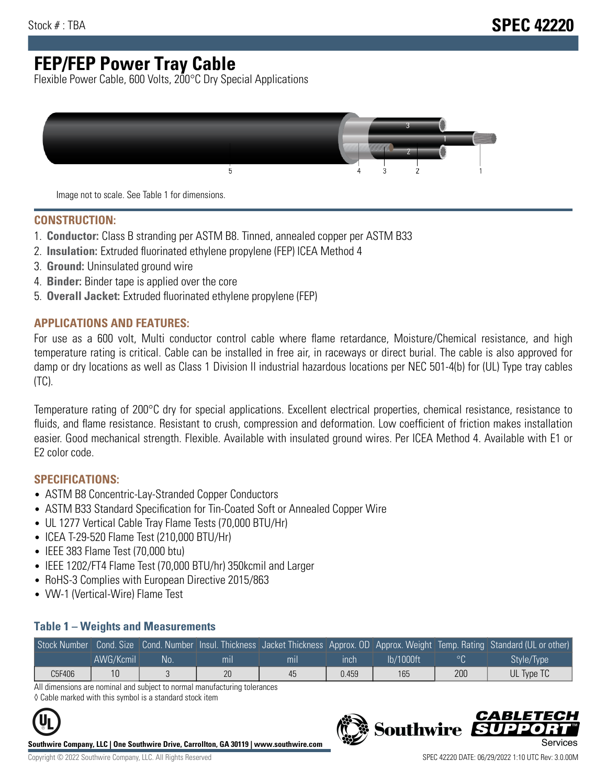# **FEP/FEP Power Tray Cable**

Flexible Power Cable, 600 Volts, 200°C Dry Special Applications



Image not to scale. See Table 1 for dimensions.

#### **CONSTRUCTION:**

- 1. **Conductor:** Class B stranding per ASTM B8. Tinned, annealed copper per ASTM B33
- 2. **Insulation:** Extruded fluorinated ethylene propylene (FEP) ICEA Method 4
- 3. **Ground:** Uninsulated ground wire
- 4. **Binder:** Binder tape is applied over the core
- 5. **Overall Jacket:** Extruded fluorinated ethylene propylene (FEP)

#### **APPLICATIONS AND FEATURES:**

For use as a 600 volt, Multi conductor control cable where flame retardance, Moisture/Chemical resistance, and high temperature rating is critical. Cable can be installed in free air, in raceways or direct burial. The cable is also approved for damp or dry locations as well as Class 1 Division II industrial hazardous locations per NEC 501-4(b) for (UL) Type tray cables (TC).

Temperature rating of 200°C dry for special applications. Excellent electrical properties, chemical resistance, resistance to fluids, and flame resistance. Resistant to crush, compression and deformation. Low coefficient of friction makes installation easier. Good mechanical strength. Flexible. Available with insulated ground wires. Per ICEA Method 4. Available with E1 or E2 color code.

### **SPECIFICATIONS:**

- ASTM B8 Concentric-Lay-Stranded Copper Conductors
- ASTM B33 Standard Specification for Tin-Coated Soft or Annealed Copper Wire
- UL 1277 Vertical Cable Tray Flame Tests (70,000 BTU/Hr)
- ICEA T-29-520 Flame Test (210,000 BTU/Hr)
- IEEE 383 Flame Test (70,000 btu)
- IEEE 1202/FT4 Flame Test (70,000 BTU/hr) 350kcmil and Larger
- RoHS-3 Complies with European Directive 2015/863
- VW-1 (Vertical-Wire) Flame Test

#### **Table 1 – Weights and Measurements**

| Stock Number |           |     |                |                |       |           |     | Gond. Size Cond. Number Insul. Thickness Jacket Thickness Approx. OD Approx. Weight Temp. Rating Standard (UL or other) |
|--------------|-----------|-----|----------------|----------------|-------|-----------|-----|-------------------------------------------------------------------------------------------------------------------------|
|              | AWG/Kcmil | No. | m <sub>l</sub> | m <sub>l</sub> | ınch  | lb/1000ft |     | Style/Type                                                                                                              |
| C5F406       |           |     | 20             | 45             | 0.459 | 165       | 200 | UL Type TC                                                                                                              |

All dimensions are nominal and subject to normal manufacturing tolerances ◊ Cable marked with this symbol is a standard stock item

**Southwire Company, LLC | One Southwire Drive, Carrollton, GA 30119 | www.southwire.com**